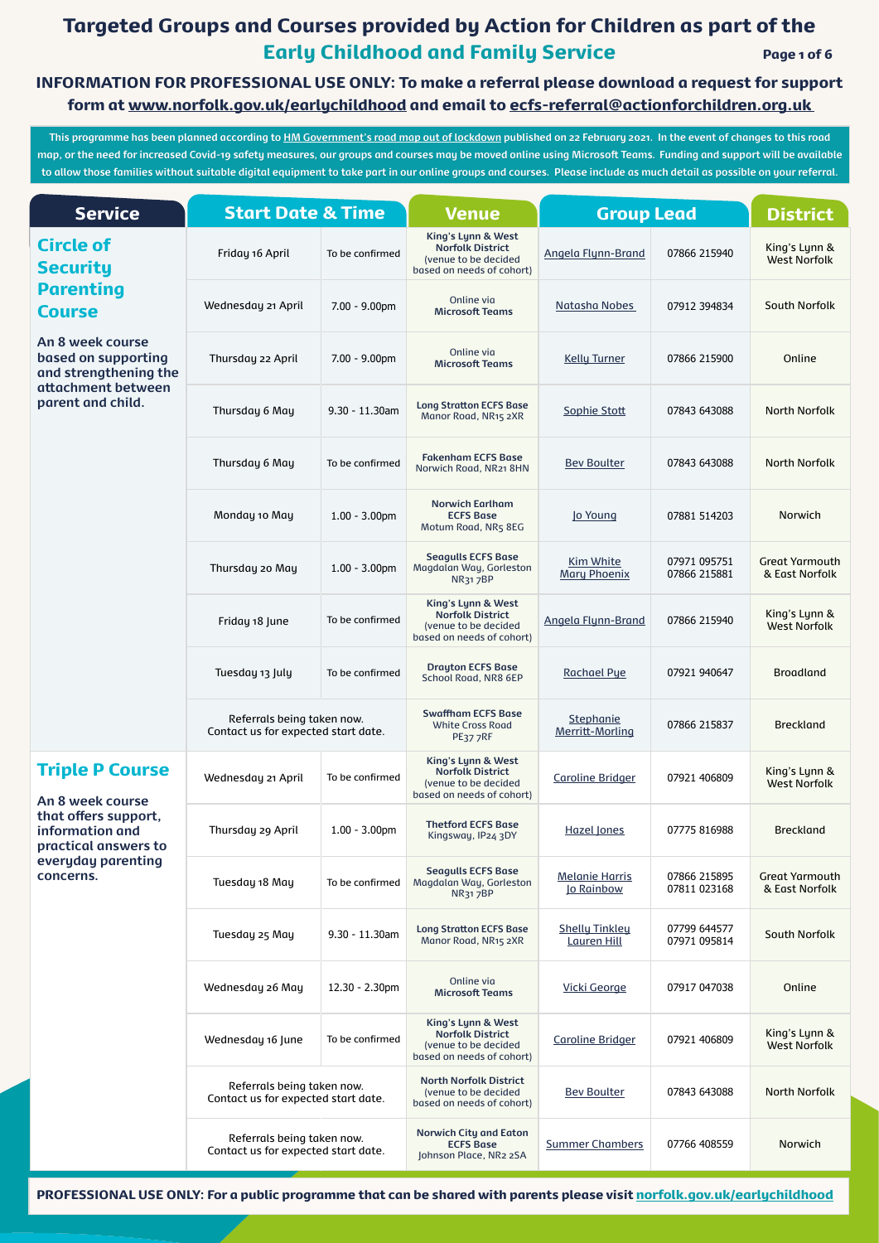# Targeted Groups and Courses provided by Action for Children as part of the Early Childhood and Family Service Page 1 of 6

**This programme has been planned according to [HM Government's road map out of lockdown](https://www.gov.uk/government/publications/covid-19-response-spring-2021/covid-19-response-spring-2021-summary) published on 22 February 2021. In the event of changes to this road map, or the need for increased Covid-19 safety measures, our groups and courses may be moved online using Microsoft Teams. Funding and support will be available to allow those families without suitable digital equipment to take part in our online groups and courses. Please include as much detail as possible on your referral.**

| <b>Service</b>                                                   | <b>Start Date &amp; Time</b>                                      |                   | <b>Venue</b>                                                                                       | <b>Group Lead</b>                           |                              | <b>District</b>                         |  |
|------------------------------------------------------------------|-------------------------------------------------------------------|-------------------|----------------------------------------------------------------------------------------------------|---------------------------------------------|------------------------------|-----------------------------------------|--|
| <b>Circle of</b><br><b>Security</b>                              | Friday 16 April                                                   | To be confirmed   | King's Lynn & West<br><b>Norfolk District</b><br>(venue to be decided<br>based on needs of cohort) | <b>Angela Flynn-Brand</b>                   | 07866 215940                 | King's Lynn &<br><b>West Norfolk</b>    |  |
| <b>Parenting</b><br><b>Course</b>                                | Wednesday 21 April                                                | $7.00 - 9.00$ pm  | Online via<br><b>Microsoft Teams</b>                                                               | Natasha Nobes                               | 07912 394834                 | <b>South Norfolk</b>                    |  |
| An 8 week course<br>based on supporting<br>and strengthening the | Thursday 22 April                                                 | $7.00 - 9.00$ pm  | Online via<br><b>Microsoft Teams</b>                                                               | <b>Kelly Turner</b>                         | 07866 215900                 | Online                                  |  |
| attachment between<br>parent and child.                          | Thursday 6 May                                                    | $9.30 - 11.30$ am | <b>Long Stratton ECFS Base</b><br>Manor Road, NR15 2XR                                             | Sophie Stott                                | 07843 643088                 | <b>North Norfolk</b>                    |  |
|                                                                  | Thursday 6 May                                                    | To be confirmed   | <b>Fakenham ECFS Base</b><br>Norwich Road, NR21 8HN                                                | <b>Bev Boulter</b>                          | 07843 643088                 | <b>North Norfolk</b>                    |  |
|                                                                  | Monday 10 May                                                     | $1.00 - 3.00$ pm  | <b>Norwich Earlham</b><br><b>ECFS Base</b><br>Motum Road, NR5 8EG                                  | lo Young                                    | 07881 514203                 | Norwich                                 |  |
|                                                                  | Thursday 20 May                                                   | $1.00 - 3.00$ pm  | <b>Seagulls ECFS Base</b><br>Magdalan Way, Gorleston<br><b>NR317BP</b>                             | <b>Kim White</b><br><b>Mary Phoenix</b>     | 07971 095751<br>07866 215881 | <b>Great Yarmouth</b><br>& East Norfolk |  |
|                                                                  | Friday 18 June                                                    | To be confirmed   | King's Lynn & West<br><b>Norfolk District</b><br>(venue to be decided<br>based on needs of cohort) | <b>Angela Flynn-Brand</b>                   | 07866 215940                 | King's Lynn &<br><b>West Norfolk</b>    |  |
|                                                                  | Tuesday 13 July                                                   | To be confirmed   | <b>Drayton ECFS Base</b><br><b>School Road, NR8 6EP</b>                                            | <b>Rachael Pye</b>                          | 07921 940647                 | <b>Broadland</b>                        |  |
|                                                                  | Referrals being taken now.<br>Contact us for expected start date. |                   | <b>Swaffham ECFS Base</b><br><b>White Cross Road</b><br>PE377RF                                    | Stephanie<br>Merritt-Morling                | 07866 215837                 | <b>Breckland</b>                        |  |
| <b>Triple P Course</b><br>An 8 week course                       | Wednesday 21 April                                                | To be confirmed   | King's Lynn & West<br><b>Norfolk District</b><br>(venue to be decided<br>based on needs of cohort) | <b>Caroline Bridger</b>                     | 07921 406809                 | King's Lynn &<br><b>West Norfolk</b>    |  |
| that offers support,<br>information and<br>practical answers to  | Thursday 29 April                                                 | $1.00 - 3.00$ pm  | <b>Thetford ECFS Base</b><br>Kingsway, IP24 3DY                                                    | <b>Hazel Jones</b>                          | 07775 816988                 | <b>Breckland</b>                        |  |
| everyday parenting<br>concerns.                                  | Tuesday 18 May                                                    | To be confirmed   | <b>Seagulls ECFS Base</b><br>Magdalan Way, Gorleston<br><b>NR317BP</b>                             | <b>Melanie Harris</b><br>lo Rainbow         | 07866 215895<br>07811 023168 | <b>Great Yarmouth</b><br>& East Norfolk |  |
|                                                                  | Tuesday 25 May                                                    | $9.30 - 11.30$ am | <b>Long Stratton ECFS Base</b><br>Manor Road, NR15 2XR                                             | <b>Shelly Tinkley</b><br><b>Lauren Hill</b> | 07799 644577<br>07971 095814 | <b>South Norfolk</b>                    |  |
|                                                                  | Wednesday 26 May                                                  | 12.30 - 2.30pm    | Online via<br><b>Microsoft Teams</b>                                                               | <b>Vicki George</b>                         | 07917 047038                 | Online                                  |  |
|                                                                  | Wednesday 16 June                                                 | To be confirmed   | King's Lynn & West<br><b>Norfolk District</b><br>(venue to be decided<br>based on needs of cohort) | <b>Caroline Bridger</b>                     | 07921 406809                 | King's Lynn &<br><b>West Norfolk</b>    |  |
|                                                                  | Referrals being taken now.<br>Contact us for expected start date. |                   | <b>North Norfolk District</b><br>(venue to be decided<br>based on needs of cohort)                 | <b>Bev Boulter</b>                          | 07843 643088                 | <b>North Norfolk</b>                    |  |
|                                                                  | Referrals being taken now.<br>Contact us for expected start date. |                   | <b>Norwich City and Eaton</b><br><b>ECFS Base</b><br>Johnson Place, NR2 2SA                        | <b>Summer Chambers</b>                      | 07766 408559                 | Norwich                                 |  |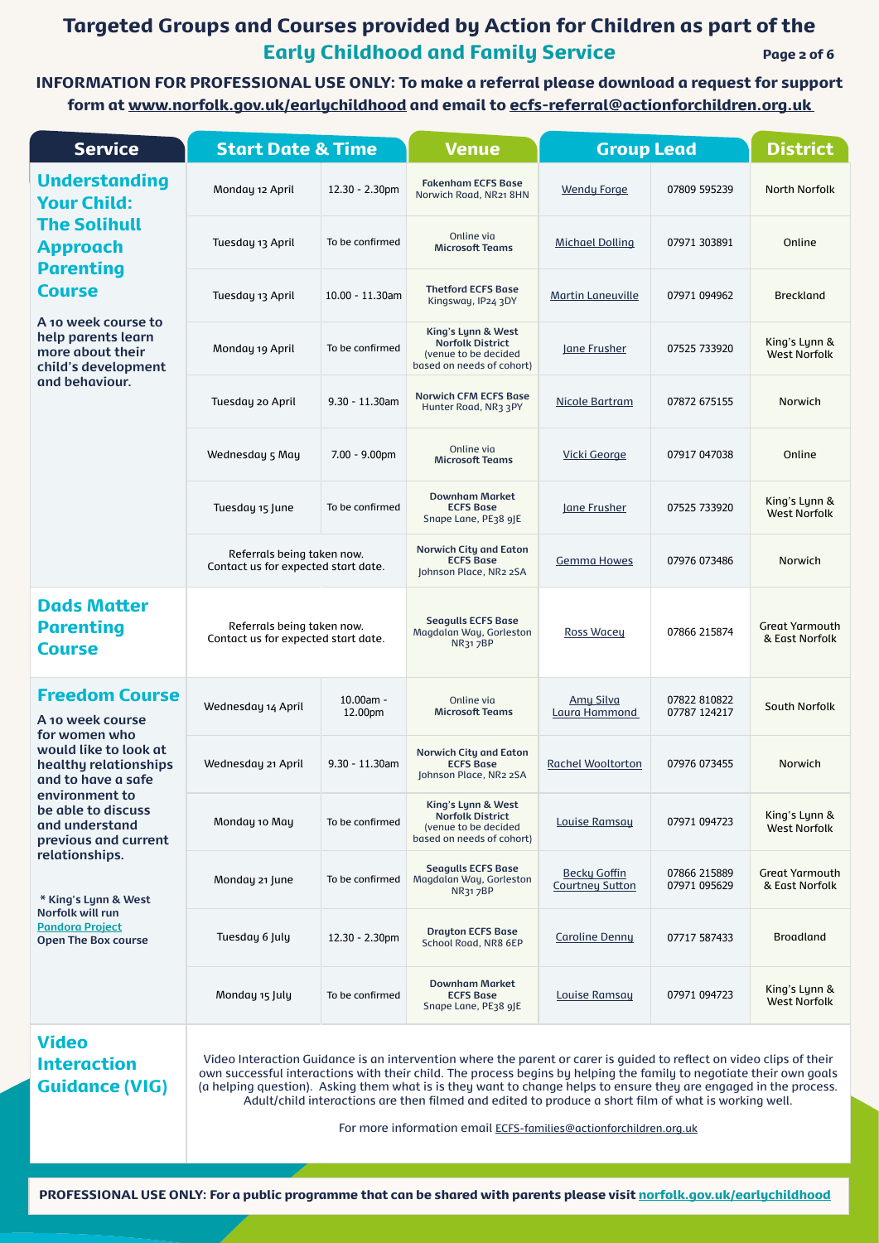# Targeted Groups and Courses provided by Action for Children as part of the Early Childhood and Family Service Page 2 of 6

PROFESSIONAL USE ONLY: For a public programme that can be shared with parents please visit [norfolk.gov.uk/earlychildhood](http://norfolk.gov.uk/earlychildhood)

| <b>Service</b>                                                                        | <b>Start Date &amp; Time</b>                                                                                                                                                                                                                                                                                                                                                                                                                                                                                                                  |                      | Venue                                                                                              | <b>Group Lead</b>                             |                              | <b>District</b>                         |
|---------------------------------------------------------------------------------------|-----------------------------------------------------------------------------------------------------------------------------------------------------------------------------------------------------------------------------------------------------------------------------------------------------------------------------------------------------------------------------------------------------------------------------------------------------------------------------------------------------------------------------------------------|----------------------|----------------------------------------------------------------------------------------------------|-----------------------------------------------|------------------------------|-----------------------------------------|
| <b>Understanding</b><br><b>Your Child:</b>                                            | Monday 12 April                                                                                                                                                                                                                                                                                                                                                                                                                                                                                                                               | 12.30 - 2.30pm       | <b>Fakenham ECFS Base</b><br>Norwich Road, NR21 8HN                                                | <b>Wendy Forge</b>                            | 07809 595239                 | <b>North Norfolk</b>                    |
| <b>The Solihull</b><br><b>Approach</b>                                                | Tuesday 13 April                                                                                                                                                                                                                                                                                                                                                                                                                                                                                                                              | To be confirmed      | Online via<br><b>Microsoft Teams</b>                                                               | <b>Michael Dolling</b>                        | 07971 303891                 | Online                                  |
| <b>Parenting</b><br><b>Course</b>                                                     | Tuesday 13 April                                                                                                                                                                                                                                                                                                                                                                                                                                                                                                                              | 10.00 - 11.30am      | <b>Thetford ECFS Base</b><br>Kingsway, IP24 3DY                                                    | <b>Martin Laneuville</b>                      | 07971 094962                 | <b>Breckland</b>                        |
| A 10 week course to<br>help parents learn<br>more about their<br>child's development  | Monday 19 April                                                                                                                                                                                                                                                                                                                                                                                                                                                                                                                               | To be confirmed      | King's Lynn & West<br><b>Norfolk District</b><br>(venue to be decided<br>based on needs of cohort) | <b>Iane Frusher</b>                           | 07525 733920                 | King's Lynn &<br><b>West Norfolk</b>    |
| and behaviour.                                                                        | Tuesday 20 April                                                                                                                                                                                                                                                                                                                                                                                                                                                                                                                              | $9.30 - 11.30$ am    | <b>Norwich CFM ECFS Base</b><br>Hunter Road, NR3 3PY                                               | Nicole Bartram                                | 07872 675155                 | <b>Norwich</b>                          |
|                                                                                       | Wednesday 5 May                                                                                                                                                                                                                                                                                                                                                                                                                                                                                                                               | $7.00 - 9.00$ pm     | Online via<br><b>Microsoft Teams</b>                                                               | <b>Vicki George</b>                           | 07917 047038                 | Online                                  |
|                                                                                       | Tuesday 15 June                                                                                                                                                                                                                                                                                                                                                                                                                                                                                                                               | To be confirmed      | <b>Downham Market</b><br><b>ECFS Base</b><br>Snape Lane, PE38 9JE                                  | Jane Frusher                                  | 07525 733920                 | King's Lynn &<br><b>West Norfolk</b>    |
|                                                                                       | Referrals being taken now.<br>Contact us for expected start date.                                                                                                                                                                                                                                                                                                                                                                                                                                                                             |                      | <b>Norwich City and Eaton</b><br><b>ECFS Base</b><br>Johnson Place, NR2 2SA                        | <b>Gemma Howes</b>                            | 07976 073486                 | <b>Norwich</b>                          |
| <b>Dads Matter</b><br><b>Parenting</b><br><b>Course</b>                               | Referrals being taken now.<br>Contact us for expected start date.                                                                                                                                                                                                                                                                                                                                                                                                                                                                             |                      | <b>Seagulls ECFS Base</b><br>Magdalan Way, Gorleston<br><b>NR317BP</b>                             | <b>Ross Wacey</b>                             | 07866 215874                 | <b>Great Yarmouth</b><br>& East Norfolk |
| <b>Freedom Course</b><br>A 10 week course                                             | Wednesday 14 April                                                                                                                                                                                                                                                                                                                                                                                                                                                                                                                            | 10.00am -<br>12.00pm | Online via<br><b>Microsoft Teams</b>                                                               | <b>Amy Silva</b><br>Laura Hammond             | 07822 810822<br>07787 124217 | <b>South Norfolk</b>                    |
| for women who<br>would like to look at<br>healthy relationships<br>and to have a safe | Wednesday 21 April                                                                                                                                                                                                                                                                                                                                                                                                                                                                                                                            | $9.30 - 11.30$ am    | <b>Norwich City and Eaton</b><br><b>ECFS Base</b><br>Johnson Place, NR2 2SA                        | <b>Rachel Wooltorton</b>                      | 07976 073455                 | Norwich                                 |
| environment to<br>be able to discuss<br>and understand<br>previous and current        | Monday 10 May                                                                                                                                                                                                                                                                                                                                                                                                                                                                                                                                 | To be confirmed      | King's Lynn & West<br><b>Norfolk District</b><br>(venue to be decided<br>based on needs of cohort) | Louise Ramsay                                 | 07971 094723                 | King's Lynn &<br><b>West Norfolk</b>    |
| relationships.<br>* King's Lynn & West                                                | Monday 21 June                                                                                                                                                                                                                                                                                                                                                                                                                                                                                                                                | To be confirmed      | <b>Seagulls ECFS Base</b><br>Magdalan Way, Gorleston<br><b>NR317BP</b>                             | <b>Becky Goffin</b><br><b>Courtney Sutton</b> | 07866 215889<br>07971 095629 | <b>Great Yarmouth</b><br>& East Norfolk |
| Norfolk will run<br><b>Pandora Project</b><br><b>Open The Box course</b>              | Tuesday 6 July                                                                                                                                                                                                                                                                                                                                                                                                                                                                                                                                | 12.30 - 2.30pm       | <b>Drayton ECFS Base</b><br><b>School Road, NR8 6EP</b>                                            | <b>Caroline Denny</b>                         | 07717 587433                 | <b>Broadland</b>                        |
|                                                                                       | Monday 15 July                                                                                                                                                                                                                                                                                                                                                                                                                                                                                                                                | To be confirmed      | <b>Downham Market</b><br><b>ECFS Base</b><br>Snape Lane, PE38 9JE                                  | Louise Ramsay                                 | 07971 094723                 | King's Lynn &<br><b>West Norfolk</b>    |
| <b>Video</b><br><b>Interaction</b><br><b>Guidance (VIG)</b>                           | Video Interaction Guidance is an intervention where the parent or carer is guided to reflect on video clips of their<br>own successful interactions with their child. The process begins by helping the family to negotiate their own goals<br>(a helping question). Asking them what is is they want to change helps to ensure they are engaged in the process.<br>Adult/child interactions are then filmed and edited to produce a short film of what is working well.<br>For more information email ECFS-families@actionforchildren.org.uk |                      |                                                                                                    |                                               |                              |                                         |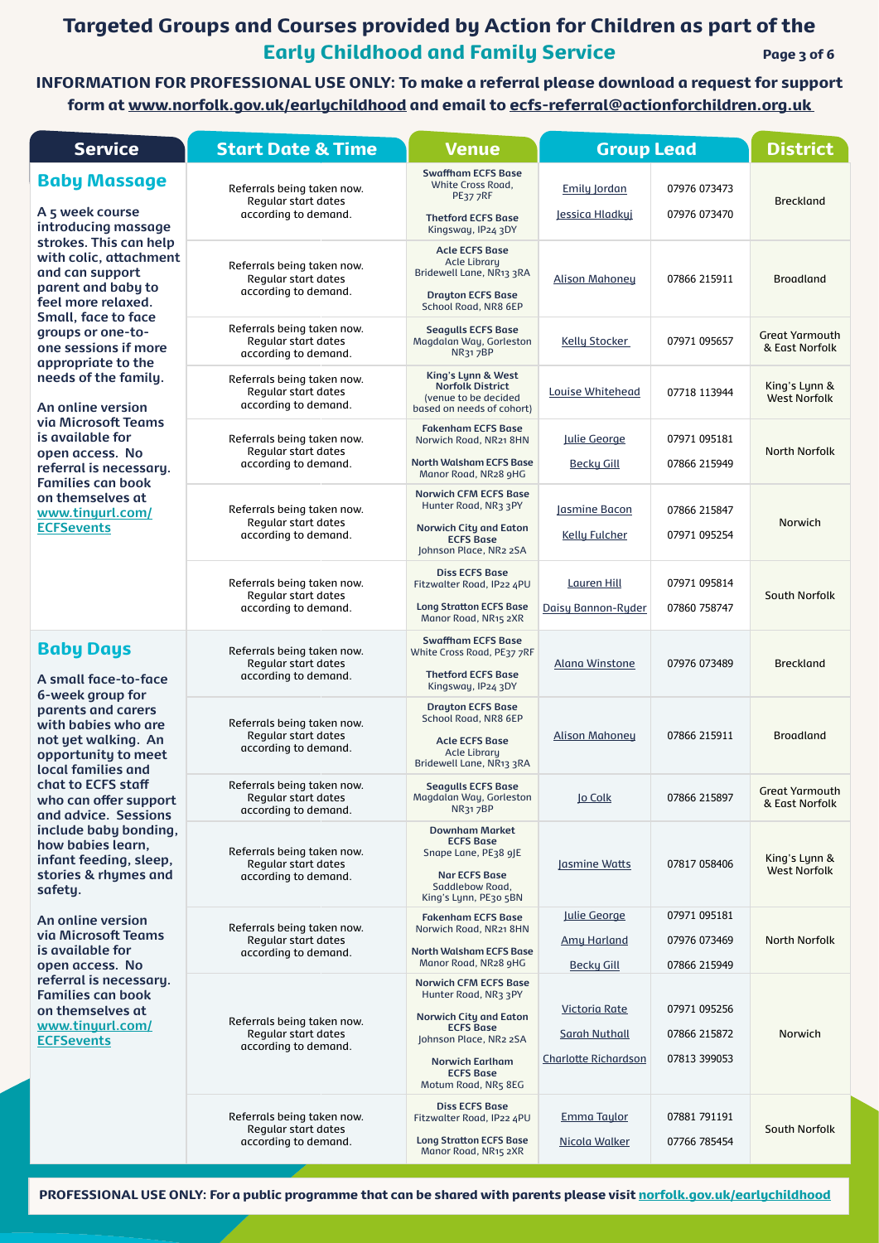# Targeted Groups and Courses provided by Action for Children as part of the Early Childhood and Family Service Page 3 of 6

INFORMATION FOR PROFESSIONAL USE ONLY: To make a referral please download a request for support form at [www.norfolk.gov.uk/earlychildhood](https://www.norfolk.gov.uk/children-and-families/early-help-and-family-support/support-for-professionals/useful-resources) and email to [ecfs-referral@actionforchildren.org.uk](mailto:ecfs-referral%40actionforchildren.org.uk%20?subject=Referral%20from%20Professional%20Programme) 

| <b>Service</b>                                                                                                                    | <b>Start Date &amp; Time</b>                                                                                                                                                                                                                                                                                                                                                                                                                                                                                                                                                                                                                                                                                                                                                                                                                                                                                                                                                                                                                                                                     | <b>Group Lead</b><br><b>Venue</b>                                                                                                   |                                                                             |                                              | <b>District</b>                         |
|-----------------------------------------------------------------------------------------------------------------------------------|--------------------------------------------------------------------------------------------------------------------------------------------------------------------------------------------------------------------------------------------------------------------------------------------------------------------------------------------------------------------------------------------------------------------------------------------------------------------------------------------------------------------------------------------------------------------------------------------------------------------------------------------------------------------------------------------------------------------------------------------------------------------------------------------------------------------------------------------------------------------------------------------------------------------------------------------------------------------------------------------------------------------------------------------------------------------------------------------------|-------------------------------------------------------------------------------------------------------------------------------------|-----------------------------------------------------------------------------|----------------------------------------------|-----------------------------------------|
| <b>Baby Massage</b><br>A 5 week course<br>introducing massage                                                                     | Referrals being taken now.<br><b>Regular start dates</b><br>according to demand.                                                                                                                                                                                                                                                                                                                                                                                                                                                                                                                                                                                                                                                                                                                                                                                                                                                                                                                                                                                                                 | <b>Swaffham ECFS Base</b><br>White Cross Road,<br>PE377RF<br><b>Thetford ECFS Base</b><br>Kingsway, IP24 3DY                        | <b>Emily Jordan</b><br>Jessica Hladkyj                                      | 07976 073473<br>07976 073470                 | <b>Breckland</b>                        |
| strokes. This can help<br>with colic, attachment<br>and can support<br>parent and baby to<br>feel more relaxed.                   | Referrals being taken now.<br><b>Regular start dates</b><br>according to demand.                                                                                                                                                                                                                                                                                                                                                                                                                                                                                                                                                                                                                                                                                                                                                                                                                                                                                                                                                                                                                 | <b>Acle ECFS Base</b><br><b>Acle Library</b><br>Bridewell Lane, NR13 3RA<br><b>Drayton ECFS Base</b><br>School Road, NR8 6EP        | <b>Alison Mahoney</b>                                                       | 07866 215911                                 | <b>Broadland</b>                        |
| <b>Small, face to face</b><br>groups or one-to-<br>one sessions if more                                                           | Referrals being taken now.<br><b>Regular start dates</b><br>according to demand.                                                                                                                                                                                                                                                                                                                                                                                                                                                                                                                                                                                                                                                                                                                                                                                                                                                                                                                                                                                                                 | <b>Seagulls ECFS Base</b><br>Magdalan Way, Gorleston<br><b>NR317BP</b>                                                              | <b>Kelly Stocker</b>                                                        | 07971 095657                                 | <b>Great Yarmouth</b><br>& East Norfolk |
| appropriate to the<br>needs of the family.<br>An online version                                                                   | Referrals being taken now.<br><b>Regular start dates</b><br>according to demand.                                                                                                                                                                                                                                                                                                                                                                                                                                                                                                                                                                                                                                                                                                                                                                                                                                                                                                                                                                                                                 | King's Lynn & West<br><b>Norfolk District</b><br>(venue to be decided<br>based on needs of cohort)                                  | <b>Louise Whitehead</b>                                                     | 07718 113944                                 | King's Lynn &<br><b>West Norfolk</b>    |
| via Microsoft Teams<br>is available for<br>open access. No<br>referral is necessary.                                              | Referrals being taken now.<br><b>Regular start dates</b><br>according to demand.                                                                                                                                                                                                                                                                                                                                                                                                                                                                                                                                                                                                                                                                                                                                                                                                                                                                                                                                                                                                                 | <b>Fakenham ECFS Base</b><br>Norwich Road, NR21 8HN<br><b>North Walsham ECFS Base</b><br>Manor Road, NR28 9HG                       | Julie George<br><b>Becky Gill</b>                                           | 07971 095181<br>07866 215949                 | <b>North Norfolk</b>                    |
| <b>Families can book</b><br>on themselves at<br>www.tinyurl.com/<br><b>ECFSevents</b>                                             | Referrals being taken now.<br><b>Regular start dates</b><br>according to demand.                                                                                                                                                                                                                                                                                                                                                                                                                                                                                                                                                                                                                                                                                                                                                                                                                                                                                                                                                                                                                 | <b>Norwich CFM ECFS Base</b><br>Hunter Road, NR3 3PY<br><b>Norwich City and Eaton</b><br><b>ECFS Base</b><br>Johnson Place, NR2 2SA | Jasmine Bacon<br><b>Kelly Fulcher</b>                                       | 07866 215847<br>07971 095254                 | Norwich                                 |
|                                                                                                                                   | Referrals being taken now.<br><b>Regular start dates</b><br>according to demand.                                                                                                                                                                                                                                                                                                                                                                                                                                                                                                                                                                                                                                                                                                                                                                                                                                                                                                                                                                                                                 | <b>Diss ECFS Base</b><br>Fitzwalter Road, IP22 4PU<br><b>Long Stratton ECFS Base</b><br>Manor Road, NR15 2XR                        | <b>Lauren Hill</b><br>Daisy Bannon-Ryder                                    | 07971 095814<br>07860 758747                 | <b>South Norfolk</b>                    |
| <b>Baby Days</b><br>A small face-to-face                                                                                          | Referrals being taken now.<br><b>Regular start dates</b><br>according to demand.                                                                                                                                                                                                                                                                                                                                                                                                                                                                                                                                                                                                                                                                                                                                                                                                                                                                                                                                                                                                                 | <b>Swaffham ECFS Base</b><br>White Cross Road, PE37 7RF<br><b>Thetford ECFS Base</b><br>Kingsway, IP24 3DY                          | <b>Alana Winstone</b>                                                       | 07976 073489                                 | <b>Breckland</b>                        |
| 6-week group for<br>parents and carers<br>with babies who are<br>not yet walking. An<br>opportunity to meet<br>local families and | Referrals being taken now.<br><b>Regular start dates</b><br>according to demand.                                                                                                                                                                                                                                                                                                                                                                                                                                                                                                                                                                                                                                                                                                                                                                                                                                                                                                                                                                                                                 | <b>Drayton ECFS Base</b><br><b>School Road, NR8 6EP</b><br><b>Acle ECFS Base</b><br><b>Acle Library</b><br>Bridewell Lane, NR13 3RA | <b>Alison Mahoney</b>                                                       | 07866 215911                                 | <b>Broadland</b>                        |
| chat to ECFS staff<br>who can offer support<br>and advice. Sessions                                                               | Referrals being taken now.<br><b>Seagulls ECFS Base</b><br><b>Regular start dates</b><br>Magdalan Way, Gorleston<br><b>NR317BP</b><br>according to demand.<br><b>Downham Market</b><br><b>ECFS Base</b><br>Referrals being taken now.<br>Snape Lane, PE38 9JE<br><b>Regular start dates</b><br><b>Nar ECFS Base</b><br>according to demand.<br>Saddlebow Road,<br>King's Lynn, PE30 5BN<br><b>Fakenham ECFS Base</b><br>Referrals being taken now.<br>Norwich Road, NR21 8HN<br><b>Regular start dates</b><br><b>North Walsham ECFS Base</b><br>according to demand.<br>Manor Road, NR28 9HG<br><b>Norwich CFM ECFS Base</b><br>Hunter Road, NR3 3PY<br><b>Norwich City and Eaton</b><br>Referrals being taken now.<br><b>ECFS Base</b><br><b>Regular start dates</b><br>Johnson Place, NR2 2SA<br>according to demand.<br><b>Norwich Earlham</b><br><b>ECFS Base</b><br>Motum Road, NR5 8EG<br><b>Diss ECFS Base</b><br>Referrals being taken now.<br>Fitzwalter Road, IP22 4PU<br><b>Regular start dates</b><br><b>Long Stratton ECFS Base</b><br>according to demand.<br>Manor Road, NR15 2XR | lo Colk                                                                                                                             | 07866 215897                                                                | <b>Great Yarmouth</b><br>& East Norfolk      |                                         |
| include baby bonding,<br>how babies learn,<br>infant feeding, sleep,<br>stories & rhymes and<br>safety.                           |                                                                                                                                                                                                                                                                                                                                                                                                                                                                                                                                                                                                                                                                                                                                                                                                                                                                                                                                                                                                                                                                                                  | Jasmine Watts                                                                                                                       | 07817 058406                                                                | King's Lynn &<br><b>West Norfolk</b>         |                                         |
| An online version<br>via Microsoft Teams<br>is available for<br>open access. No                                                   |                                                                                                                                                                                                                                                                                                                                                                                                                                                                                                                                                                                                                                                                                                                                                                                                                                                                                                                                                                                                                                                                                                  |                                                                                                                                     | Julie George<br><b>Amy Harland</b><br><b>Becky Gill</b>                     | 07971 095181<br>07976 073469<br>07866 215949 | <b>North Norfolk</b>                    |
| referral is necessary.<br><b>Families can book</b><br>on themselves at<br>www.tinyurl.com/<br><b>ECFSevents</b>                   |                                                                                                                                                                                                                                                                                                                                                                                                                                                                                                                                                                                                                                                                                                                                                                                                                                                                                                                                                                                                                                                                                                  |                                                                                                                                     | <b>Victoria Rate</b><br><b>Sarah Nuthall</b><br><b>Charlotte Richardson</b> | 07971 095256<br>07866 215872<br>07813 399053 | Norwich                                 |
|                                                                                                                                   |                                                                                                                                                                                                                                                                                                                                                                                                                                                                                                                                                                                                                                                                                                                                                                                                                                                                                                                                                                                                                                                                                                  |                                                                                                                                     | <b>Emma Taylor</b><br>Nicola Walker                                         | 07881 791191<br>07766 785454                 | <b>South Norfolk</b>                    |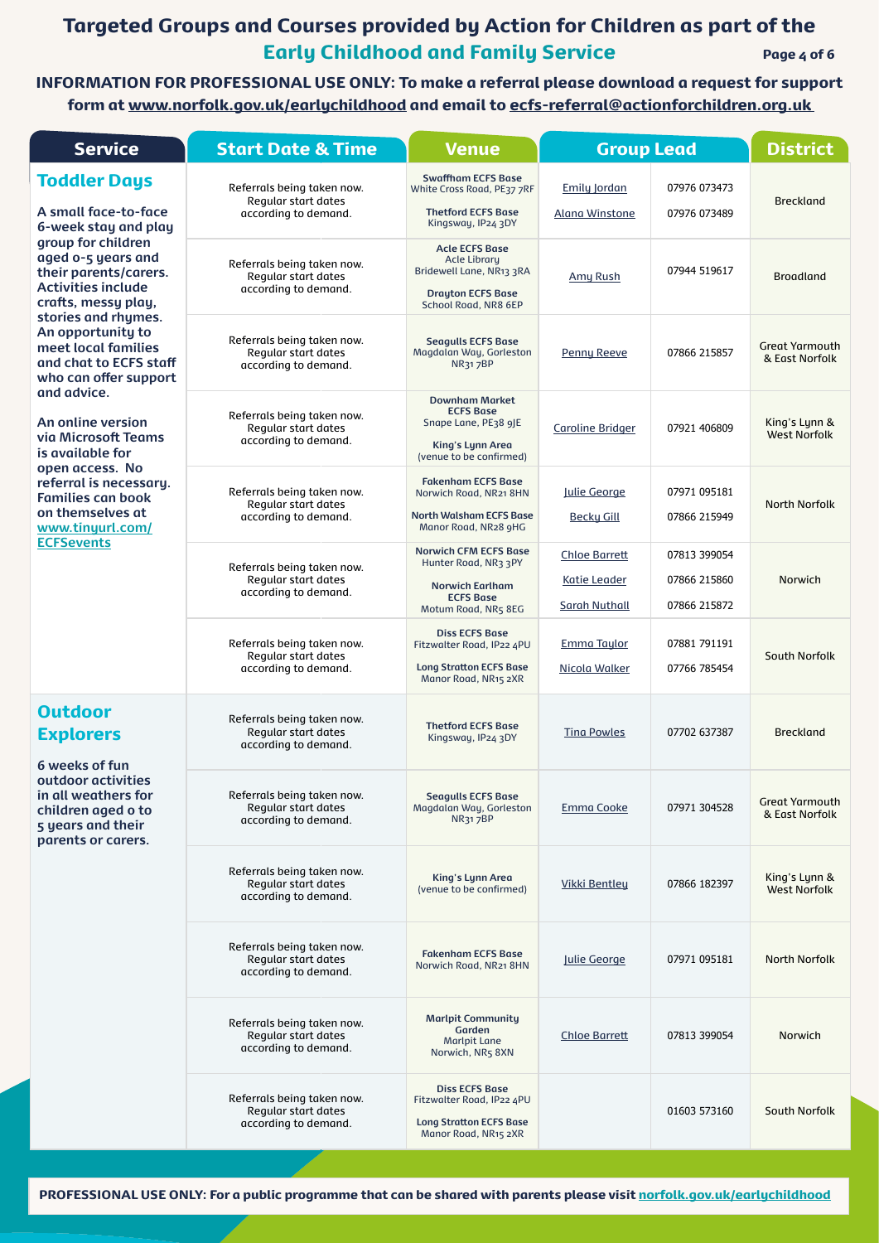# Targeted Groups and Courses provided by Action for Children as part of the Early Childhood and Family Service Page 4 of 6

INFORMATION FOR PROFESSIONAL USE ONLY: To make a referral please download a request for support form at [www.norfolk.gov.uk/earlychildhood](https://www.norfolk.gov.uk/children-and-families/early-help-and-family-support/support-for-professionals/useful-resources) and email to [ecfs-referral@actionforchildren.org.uk](mailto:ecfs-referral%40actionforchildren.org.uk%20?subject=Referral%20from%20Professional%20Programme) 

| <b>Service</b>                                                                                                        | <b>Start Date &amp; Time</b>                                                     | <b>Venue</b>                                                                                                                 | <b>Group Lead</b>                                                   |                                              | <b>District</b>                         |
|-----------------------------------------------------------------------------------------------------------------------|----------------------------------------------------------------------------------|------------------------------------------------------------------------------------------------------------------------------|---------------------------------------------------------------------|----------------------------------------------|-----------------------------------------|
| <b>Toddler Days</b><br>A small face-to-face<br>6-week stay and play                                                   | Referrals being taken now.<br>Regular start dates<br>according to demand.        | <b>Swaffham ECFS Base</b><br>White Cross Road, PE37 7RF<br><b>Thetford ECFS Base</b><br>Kingsway, IP24 3DY                   | <b>Emily Jordan</b><br><b>Alana Winstone</b>                        | 07976 073473<br>07976 073489                 | <b>Breckland</b>                        |
| group for children<br>aged o-5 years and<br>their parents/carers.<br><b>Activities include</b><br>crafts, messy play, | Referrals being taken now.<br><b>Regular start dates</b><br>according to demand. | <b>Acle ECFS Base</b><br><b>Acle Library</b><br>Bridewell Lane, NR13 3RA<br><b>Drayton ECFS Base</b><br>School Road, NR8 6EP | <b>Amy Rush</b>                                                     | 07944 519617                                 | <b>Broadland</b>                        |
| stories and rhymes.<br>An opportunity to<br>meet local families<br>and chat to ECFS staff<br>who can offer support    | Referrals being taken now.<br><b>Regular start dates</b><br>according to demand. | <b>Seagulls ECFS Base</b><br>Magdalan Way, Gorleston<br><b>NR317BP</b>                                                       | Penny Reeve                                                         | 07866 215857                                 | <b>Great Yarmouth</b><br>& East Norfolk |
| and advice.<br>An online version<br>via Microsoft Teams<br>is available for                                           | Referrals being taken now.<br><b>Regular start dates</b><br>according to demand. | <b>Downham Market</b><br><b>ECFS Base</b><br>Snape Lane, PE38 9JE<br><b>King's Lynn Area</b><br>(venue to be confirmed)      | <b>Caroline Bridger</b>                                             | 07921 406809                                 | King's Lynn &<br><b>West Norfolk</b>    |
| open access. No<br>referral is necessary.<br><b>Families can book</b><br>on themselves at<br>www.tinyurl.com/         | Referrals being taken now.<br><b>Regular start dates</b><br>according to demand. | <b>Fakenham ECFS Base</b><br>Norwich Road, NR21 8HN<br><b>North Walsham ECFS Base</b><br>Manor Road, NR28 9HG                | Julie George<br><b>Becky Gill</b>                                   | 07971 095181<br>07866 215949                 | <b>North Norfolk</b>                    |
| <b>ECFSevents</b>                                                                                                     | Referrals being taken now.<br><b>Regular start dates</b><br>according to demand. | <b>Norwich CFM ECFS Base</b><br>Hunter Road, NR3 3PY<br><b>Norwich Earlham</b><br><b>ECFS Base</b><br>Motum Road, NR5 8EG    | <b>Chloe Barrett</b><br><b>Katie Leader</b><br><b>Sarah Nuthall</b> | 07813 399054<br>07866 215860<br>07866 215872 | Norwich                                 |
|                                                                                                                       | Referrals being taken now.<br><b>Regular start dates</b><br>according to demand. | <b>Diss ECFS Base</b><br>Fitzwalter Road, IP22 4PU<br><b>Long Stratton ECFS Base</b><br>Manor Road, NR15 2XR                 | <b>Emma Taylor</b><br>Nicola Walker                                 | 07881 791191<br>07766 785454                 | <b>South Norfolk</b>                    |
| <b>Outdoor</b><br><b>Explorers</b><br>6 weeks of fun                                                                  | Referrals being taken now.<br><b>Regular start dates</b><br>according to demand. | <b>Thetford ECFS Base</b><br>Kingsway, IP24 3DY                                                                              | <b>Ting Powles</b>                                                  | 07702 637387                                 | <b>Breckland</b>                        |
| outdoor activities<br>in all weathers for<br>children aged o to<br>5 years and their<br>parents or carers.            | Referrals being taken now.<br><b>Regular start dates</b><br>according to demand. | <b>Seagulls ECFS Base</b><br>Magdalan Way, Gorleston<br><b>NR317BP</b>                                                       | <b>Emma Cooke</b>                                                   | 07971 304528                                 | <b>Great Yarmouth</b><br>& East Norfolk |
|                                                                                                                       | Referrals being taken now.<br><b>Regular start dates</b><br>according to demand. | <b>King's Lynn Area</b><br>(venue to be confirmed)                                                                           | <b>Vikki Bentley</b>                                                | 07866 182397                                 | King's Lynn &<br><b>West Norfolk</b>    |

| Referrals being taken now.<br>Regular start dates<br>according to demand. | <b>Fakenham ECFS Base</b><br>Norwich Road, NR21 8HN                                                          | Julie George         | 07971 095181 | <b>North Norfolk</b> |
|---------------------------------------------------------------------------|--------------------------------------------------------------------------------------------------------------|----------------------|--------------|----------------------|
| Referrals being taken now.<br>Regular start dates<br>according to demand. | <b>Marlpit Community</b><br>Garden<br>Marlpit Lane<br>Norwich, NR5 8XN                                       | <b>Chloe Barrett</b> | 07813 399054 | <b>Norwich</b>       |
| Referrals being taken now.<br>Regular start dates<br>according to demand. | <b>Diss ECFS Base</b><br>Fitzwalter Road, IP22 4PU<br><b>Long Stratton ECFS Base</b><br>Manor Road, NR15 2XR |                      | 01603 573160 | South Norfolk        |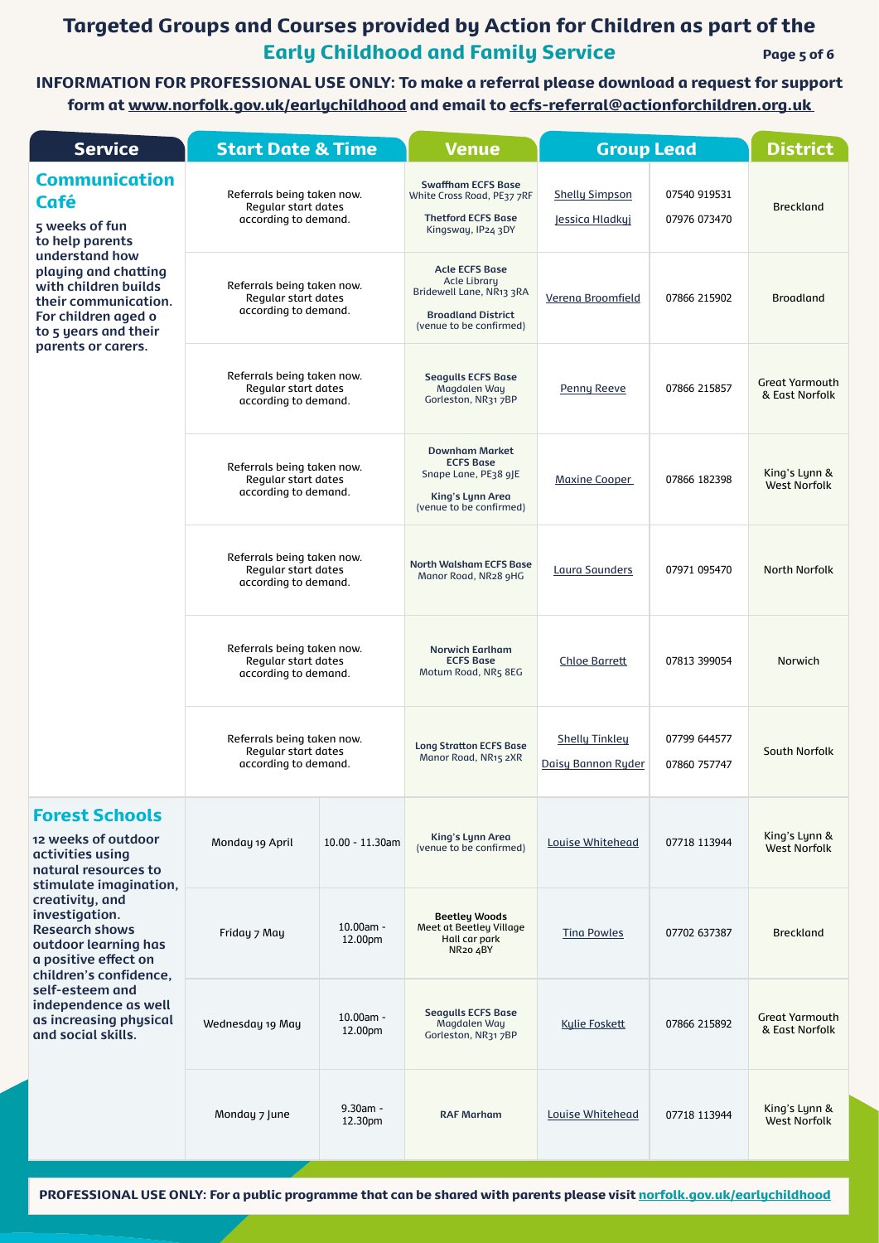### Targeted Groups and Courses provided by Action for Children as part of the Early Childhood and Family Service Page 5 of 6

| <b>Service</b>                                                                                                                        | <b>Start Date &amp; Time</b>                                                     |                        | <b>Venue</b>                                                                                                                     |                                             | <b>Group Lead</b>            |                                         |
|---------------------------------------------------------------------------------------------------------------------------------------|----------------------------------------------------------------------------------|------------------------|----------------------------------------------------------------------------------------------------------------------------------|---------------------------------------------|------------------------------|-----------------------------------------|
| <b>Communication</b><br><b>Café</b><br>5 weeks of fun<br>to help parents                                                              | Referrals being taken now.<br><b>Regular start dates</b><br>according to demand. |                        | <b>Swaffham ECFS Base</b><br>White Cross Road, PE37 7RF<br><b>Thetford ECFS Base</b><br>Kingsway, IP24 3DY                       | <b>Shelly Simpson</b><br>Jessica Hladkyj    | 07540 919531<br>07976 073470 | <b>Breckland</b>                        |
| understand how<br>playing and chatting<br>with children builds<br>their communication.<br>For children aged o<br>to 5 years and their | Referrals being taken now.<br><b>Regular start dates</b><br>according to demand. |                        | <b>Acle ECFS Base</b><br><b>Acle Library</b><br>Bridewell Lane, NR13 3RA<br><b>Broadland District</b><br>(venue to be confirmed) | Verena Broomfield                           | 07866 215902                 | <b>Broadland</b>                        |
| parents or carers.                                                                                                                    | Referrals being taken now.<br><b>Regular start dates</b><br>according to demand. |                        | <b>Seagulls ECFS Base</b><br>Magdalen Way<br>Gorleston, NR31 7BP                                                                 | <b>Penny Reeve</b>                          | 07866 215857                 | <b>Great Yarmouth</b><br>& East Norfolk |
|                                                                                                                                       | Referrals being taken now.<br><b>Regular start dates</b><br>according to demand. |                        | <b>Downham Market</b><br><b>ECFS Base</b><br>Snape Lane, PE38 9JE<br><b>King's Lynn Area</b><br>(venue to be confirmed)          | <b>Maxine Cooper</b>                        | 07866 182398                 | King's Lynn &<br><b>West Norfolk</b>    |
|                                                                                                                                       | Referrals being taken now.<br><b>Regular start dates</b><br>according to demand. |                        | <b>North Walsham ECFS Base</b><br>Manor Road, NR28 9HG                                                                           | Laura Saunders                              | 07971 095470                 | <b>North Norfolk</b>                    |
|                                                                                                                                       | Referrals being taken now.<br><b>Regular start dates</b><br>according to demand. |                        | <b>Norwich Earlham</b><br><b>ECFS Base</b><br>Motum Road, NR5 8EG                                                                | <b>Chloe Barrett</b>                        | 07813 399054                 | Norwich                                 |
|                                                                                                                                       | Referrals being taken now.<br><b>Regular start dates</b><br>according to demand. |                        | <b>Long Stratton ECFS Base</b><br>Manor Road, NR15 2XR                                                                           | <b>Shelly Tinkley</b><br>Daisy Bannon Ryder | 07799 644577<br>07860 757747 | <b>South Norfolk</b>                    |
| <b>Forest Schools</b><br>12 weeks of outdoor<br>activities using<br>natural resources to<br>stimulate imagination,                    | Monday 19 April                                                                  | $10.00 - 11.30$ am     | <b>King's Lynn Area</b><br>(venue to be confirmed)                                                                               | <b>Louise Whitehead</b>                     | 07718 113944                 | King's Lynn &<br><b>West Norfolk</b>    |
| creativity, and<br>investigation.<br><b>Research shows</b><br>outdoor learning has<br>a positive effect on<br>children's confidence.  | Friday 7 May                                                                     | $10.00am -$<br>12.00pm | <b>Beetley Woods</b><br>Meet at Beetley Village<br>Hall car park<br>NR <sub>20</sub> 4BY                                         | <b>Tina Powles</b>                          | 07702 637387                 | <b>Breckland</b>                        |
| self-esteem and<br>independence as well<br>as increasing physical<br>and social skills.                                               | Wednesday 19 May                                                                 | $10.00am -$<br>12.00pm | <b>Seagulls ECFS Base</b><br>Magdalen Way<br>Gorleston, NR31 7BP                                                                 | <b>Kylie Foskett</b>                        | 07866 215892                 | <b>Great Yarmouth</b><br>& East Norfolk |
|                                                                                                                                       | Monday 7 June                                                                    | 9.30am -<br>12.30pm    | <b>RAF Marham</b>                                                                                                                | <b>Louise Whitehead</b>                     | 07718 113944                 | King's Lynn &<br><b>West Norfolk</b>    |